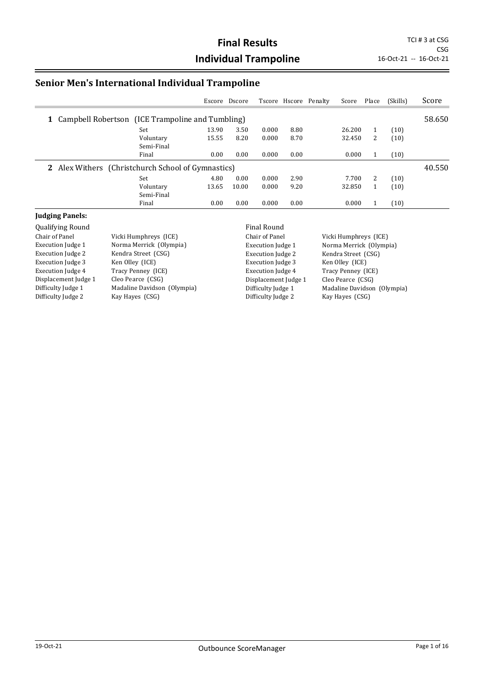CSG

### **Senior Men's International Individual Trampoline**

|                                                           |            | Escore | Dscore |       |      | Tscore Hscore Penalty | Score  | Place | (Skills) | Score  |
|-----------------------------------------------------------|------------|--------|--------|-------|------|-----------------------|--------|-------|----------|--------|
| <b>1</b> Campbell Robertson (ICE Trampoline and Tumbling) |            |        |        |       |      |                       |        |       |          | 58.650 |
|                                                           | Set        | 13.90  | 3.50   | 0.000 | 8.80 |                       | 26.200 |       | (10)     |        |
|                                                           | Voluntary  | 15.55  | 8.20   | 0.000 | 8.70 |                       | 32.450 | 2     | (10)     |        |
|                                                           | Semi-Final |        |        |       |      |                       |        |       |          |        |
|                                                           | Final      | 0.00   | 0.00   | 0.000 | 0.00 |                       | 0.000  |       | (10)     |        |
| 2 Alex Withers (Christchurch School of Gymnastics)        |            |        |        |       |      |                       |        |       |          | 40.550 |
|                                                           | Set        | 4.80   | 0.00   | 0.000 | 2.90 |                       | 7.700  | 2     | (10)     |        |
|                                                           | Voluntary  | 13.65  | 10.00  | 0.000 | 9.20 |                       | 32.850 |       | (10)     |        |
|                                                           | Semi-Final |        |        |       |      |                       |        |       |          |        |
|                                                           | Final      | 0.00   | 0.00   | 0.000 | 0.00 |                       | 0.000  |       | (10)     |        |

#### **Judging Panels:**

Qualifying Round Final Round Vicki Humphreys (ICE) Execution Judge 1 Norma Merrick (Olympia) Execution Judge 2 Kendra Street (CSG) Execution Judge 3 Ken Olley (ICE) Execution Judge 4 Tracy Penney (ICE) Displacement Judge 1 Cleo Pearce (CSG) Difficulty Judge 1 Madaline Davidson (Olympia) Difficulty Judge 2 Kay Hayes (CSG)

Chair of Panel Vicki Humphreys (ICE) Execution Judge 2 Kendra Street (CSG) Execution Judge 3 Ken Olley (ICE) Execution Judge 4 Tracy Penney (ICE) Displacement Judge 1 Cleo Pearce (CSG) Difficulty Judge 2 Kay Hayes (CSG)

Execution Judge 1 Norma Merrick (Olympia) Difficulty Judge 1 Madaline Davidson (Olympia)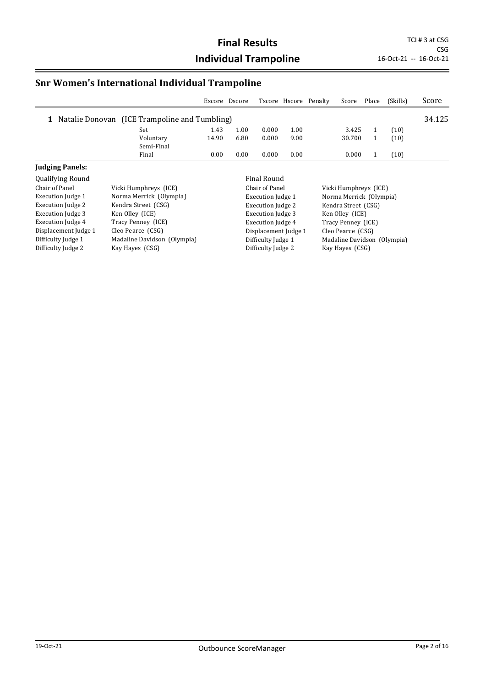## **Snr Women's International Individual Trampoline**

|                          |                                               | Escore Dscore |      |                          | Tscore Hscore Penalty | Score                   | Place | (Skills) | Score  |
|--------------------------|-----------------------------------------------|---------------|------|--------------------------|-----------------------|-------------------------|-------|----------|--------|
|                          | Natalie Donovan (ICE Trampoline and Tumbling) |               |      |                          |                       |                         |       |          | 34.125 |
|                          | Set                                           | 1.43          | 1.00 | 0.000                    | 1.00                  | 3.425                   |       | (10)     |        |
|                          | Voluntary                                     | 14.90         | 6.80 | 0.000                    | 9.00                  | 30.700                  |       | (10)     |        |
|                          | Semi-Final                                    |               |      |                          |                       |                         |       |          |        |
|                          | Final                                         | 0.00          | 0.00 | 0.000                    | 0.00                  | 0.000                   |       | (10)     |        |
| <b>Judging Panels:</b>   |                                               |               |      |                          |                       |                         |       |          |        |
| <b>Qualifying Round</b>  |                                               |               |      | Final Round              |                       |                         |       |          |        |
| Chair of Panel           | Vicki Humphreys (ICE)                         |               |      | Chair of Panel           |                       | Vicki Humphreys (ICE)   |       |          |        |
| Execution Judge 1        | Norma Merrick (Olympia)                       |               |      | <b>Execution Judge 1</b> |                       | Norma Merrick (Olympia) |       |          |        |
| <b>Execution Judge 2</b> | Kendra Street (CSG)                           |               |      | <b>Execution Judge 2</b> |                       | Kendra Street (CSG)     |       |          |        |

| Execution Judge 2        | Kendra Street (CSG)         | <b>Execution Judge 2</b> | Kendra Street (CSG)         |
|--------------------------|-----------------------------|--------------------------|-----------------------------|
| <b>Execution Judge 3</b> | Ken Olley (ICE)             | <b>Execution Judge 3</b> | Ken Olley (ICE)             |
| Execution Judge 4        | Tracy Penney (ICE)          | Execution Judge 4        | Tracy Penney (ICE)          |
| Displacement Judge 1     | Cleo Pearce (CSG)           | Displacement Judge 1     | Cleo Pearce (CSG)           |
| Difficulty Judge 1       | Madaline Davidson (Olympia) | Difficulty Judge 1       | Madaline Davidson (Olympia) |
| Difficulty Judge 2       | Kay Hayes (CSG)             | Difficulty Judge 2       | Kay Hayes (CSG)             |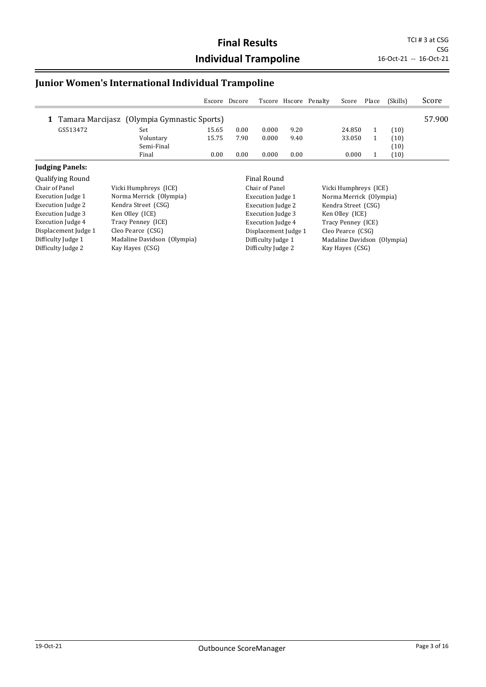## **Junior Women's International Individual Trampoline**

|                         | Escore                                      |       | Dscore |                    |      | Tscore Hscore Penalty | Score  | Place | (Skills) | Score  |
|-------------------------|---------------------------------------------|-------|--------|--------------------|------|-----------------------|--------|-------|----------|--------|
| 1                       | Tamara Marcijasz (Olympia Gymnastic Sports) |       |        |                    |      |                       |        |       |          | 57.900 |
| GS513472                | Set                                         | 15.65 | 0.00   | 0.000              | 9.20 |                       | 24.850 |       | (10)     |        |
|                         | 15.75<br>Voluntary                          |       | 7.90   | 0.000              | 9.40 |                       | 33.050 |       | (10)     |        |
|                         | Semi-Final                                  |       |        |                    |      |                       |        |       | (10)     |        |
|                         | Final                                       | 0.00  | 0.00   | 0.000              | 0.00 |                       | 0.000  |       | (10)     |        |
| <b>Judging Panels:</b>  |                                             |       |        |                    |      |                       |        |       |          |        |
| <b>Qualifying Round</b> |                                             |       |        | <b>Final Round</b> |      |                       |        |       |          |        |

| Chair of Panel       | Vicki Humphreys (ICE)       | Chair of Panel           | Vicki Humphreys (ICE)       |
|----------------------|-----------------------------|--------------------------|-----------------------------|
| Execution Judge 1    | Norma Merrick (Olympia)     | Execution Judge 1        | Norma Merrick (Olympia)     |
| Execution Judge 2    | Kendra Street (CSG)         | <b>Execution Judge 2</b> | Kendra Street (CSG)         |
| Execution Judge 3    | Ken Olley (ICE)             | Execution Judge 3        | Ken Olley (ICE)             |
| Execution Judge 4    | Tracy Penney (ICE)          | Execution Judge 4        | Tracy Penney (ICE)          |
| Displacement Judge 1 | Cleo Pearce (CSG)           | Displacement Judge 1     | Cleo Pearce (CSG)           |
| Difficulty Judge 1   | Madaline Davidson (Olympia) | Difficulty Judge 1       | Madaline Davidson (Olympia) |
| Difficulty Judge 2   | Kay Hayes (CSG)             | Difficulty Judge 2       | Kay Hayes (CSG)             |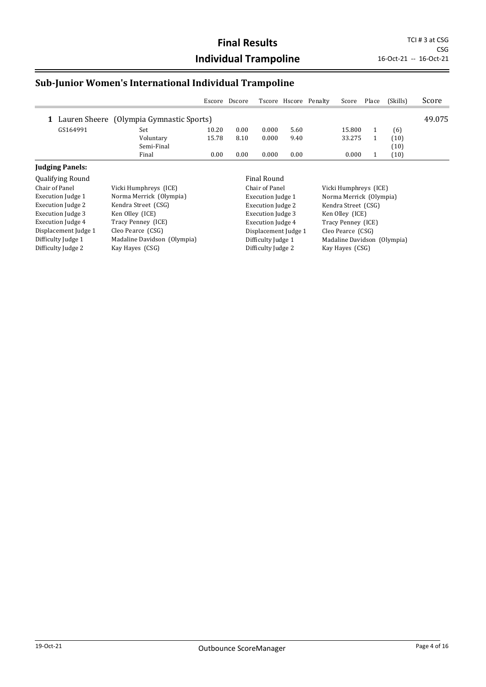### **Sub-Junior Women's International Individual Trampoline**

|                        |                                                   |       | Escore Dscore |                        |      | Tscore Hscore Penalty | Score                                                                                                             | Place | (Skills) | Score  |
|------------------------|---------------------------------------------------|-------|---------------|------------------------|------|-----------------------|-------------------------------------------------------------------------------------------------------------------|-------|----------|--------|
| 1                      | Lauren Sheere (Olympia Gymnastic Sports)          |       |               |                        |      |                       |                                                                                                                   |       |          | 49.075 |
| GS164991               | Set                                               | 10.20 | 0.00          | 0.000                  | 5.60 |                       | 15.800                                                                                                            |       | (6)      |        |
|                        | Voluntary                                         | 15.78 | 8.10          | 0.000                  | 9.40 |                       | 33.275                                                                                                            |       | (10)     |        |
|                        | Semi-Final                                        |       |               |                        |      |                       |                                                                                                                   |       | (10)     |        |
|                        | Final                                             | 0.00  | 0.00          | 0.000                  | 0.00 |                       | 0.000                                                                                                             |       | (10)     |        |
| <b>Judging Panels:</b> |                                                   |       |               |                        |      |                       |                                                                                                                   |       |          |        |
| Qualifying Round       |                                                   |       |               | Final Round            |      |                       |                                                                                                                   |       |          |        |
| Chain of Danal         | $U_{\rm tot}$ $U_{\rm t}$ $U_{\rm t}$ $U_{\rm t}$ |       |               | $C1$ and $C2$ and $C3$ |      |                       | $U: \mathbb{R}$ $U: \mathbb{R}$ $\rightarrow$ $\mathbb{R}$ $\rightarrow$ $\rightarrow$ $\rightarrow$ $\mathbb{R}$ |       |          |        |

Difficulty Judge 2

| Chair of Panel       | Vicki Humphreys (ICE)       | Chair of Pane        |
|----------------------|-----------------------------|----------------------|
| Execution Judge 1    | Norma Merrick (Olympia)     | <b>Execution</b> Juc |
| Execution Judge 2    | Kendra Street (CSG)         | Execution Juc        |
| Execution Judge 3    | Ken Olley (ICE)             | Execution Juc        |
| Execution Judge 4    | Tracy Penney (ICE)          | <b>Execution</b> Juc |
| Displacement Judge 1 | Cleo Pearce (CSG)           | Displacemen          |
| Difficulty Judge 1   | Madaline Davidson (Olympia) | Difficulty Jud       |

Difficulty Judge 2 Kay Hayes (CSG)

el Vicki Humphreys (ICE) dge 1 Norma Merrick (Olympia) dge 2 Kendra Street (CSG)<br>dge 3 Ken Olley (ICE) Ken Olley (ICE) dge 4 Tracy Penney (ICE) nt Judge 1 Cleo Pearce (CSG) )<br>Ige 1 Madaline Davidson (Olympia)<br>Ige 2 Kay Hayes (CSG)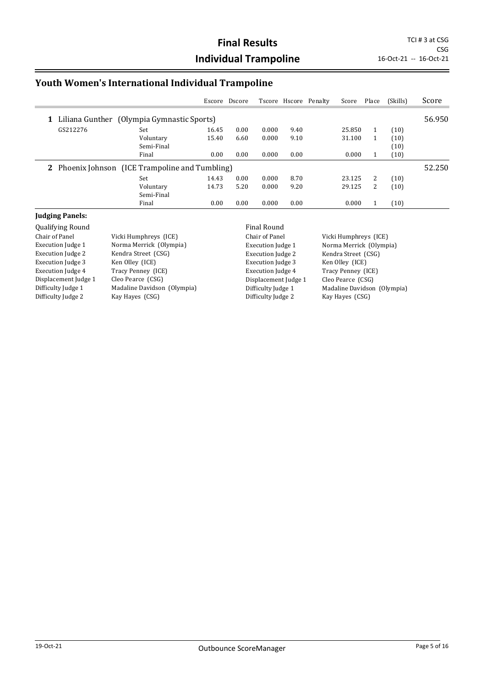### **Youth Women's International Individual Trampoline**

|              |                                               | Escore | Dscore |       |      | Tscore Hscore Penalty | Score  | Place | (Skills) | Score  |
|--------------|-----------------------------------------------|--------|--------|-------|------|-----------------------|--------|-------|----------|--------|
| 1            | Liliana Gunther (Olympia Gymnastic Sports)    |        |        |       |      |                       |        |       |          | 56.950 |
| GS212276     | Set                                           | 16.45  | 0.00   | 0.000 | 9.40 |                       | 25.850 | 1     | (10)     |        |
|              | Voluntary                                     | 15.40  | 6.60   | 0.000 | 9.10 |                       | 31.100 |       | (10)     |        |
|              | Semi-Final                                    |        |        |       |      |                       |        |       | (10)     |        |
|              | Final                                         | 0.00   | 0.00   | 0.000 | 0.00 |                       | 0.000  |       | (10)     |        |
| $\mathbf{z}$ | Phoenix Johnson (ICE Trampoline and Tumbling) |        |        |       |      |                       |        |       |          | 52.250 |
|              | Set                                           | 14.43  | 0.00   | 0.000 | 8.70 |                       | 23.125 | 2     | (10)     |        |
|              | Voluntary                                     | 14.73  | 5.20   | 0.000 | 9.20 |                       | 29.125 | 2     | (10)     |        |
|              | Semi-Final                                    |        |        |       |      |                       |        |       |          |        |
|              | Final                                         | 0.00   | 0.00   | 0.000 | 0.00 |                       | 0.000  |       | (10)     |        |

#### **Judging Panels:**

Qualifying Round Final Round Vicki Humphreys (ICE) Execution Judge 1 Norma Merrick (Olympia) Execution Judge 2 Kendra Street (CSG) Execution Judge 3 Ken Olley (ICE) Execution Judge 4 Tracy Penney (ICE) Displacement Judge 1 Cleo Pearce (CSG) Difficulty Judge 1 Madaline Davidson (Olympia) Difficulty Judge 2 Kay Hayes (CSG)

Chair of Panel Vicki Humphreys (ICE) Execution Judge 2 Kendra Street (CSG) Execution Judge 3 Ken Olley (ICE) Execution Judge 4 Tracy Penney (ICE) Displacement Judge 1 Cleo Pearce (CSG) Difficulty Judge 2 Kay Hayes (CSG)

Execution Judge 1 Norma Merrick (Olympia) Difficulty Judge 1 Madaline Davidson (Olympia)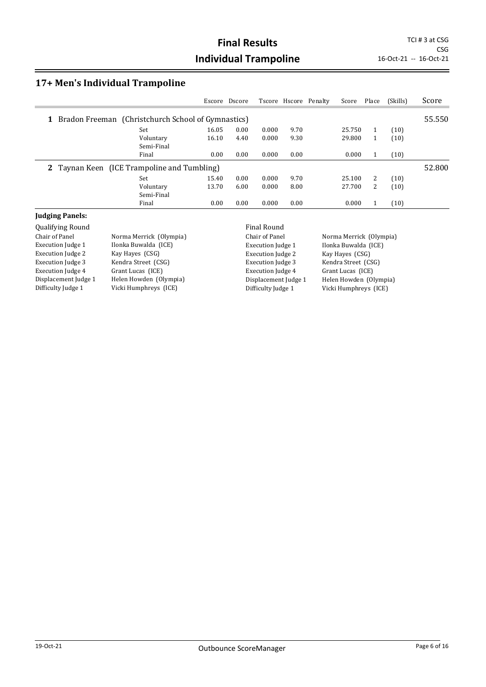CSG

#### **17+ Men's Individual Trampoline**

|                                                             | Escore             | Dscore |       |      | Tscore Hscore Penalty | Score  | Place | (Skills) | Score  |
|-------------------------------------------------------------|--------------------|--------|-------|------|-----------------------|--------|-------|----------|--------|
| <b>1</b> Bradon Freeman (Christchurch School of Gymnastics) |                    |        |       |      |                       |        |       |          | 55.550 |
| Set                                                         | 16.05              | 0.00   | 0.000 | 9.70 |                       | 25.750 |       | (10)     |        |
|                                                             | Voluntary<br>16.10 | 4.40   | 0.000 | 9.30 |                       | 29.800 |       | (10)     |        |
|                                                             | Semi-Final         |        |       |      |                       |        |       |          |        |
|                                                             | Final<br>0.00      | 0.00   | 0.000 | 0.00 |                       | 0.000  |       | (10)     |        |
| 2 Taynan Keen (ICE Trampoline and Tumbling)                 |                    |        |       |      |                       |        |       |          | 52.800 |
| Set                                                         | 15.40              | 0.00   | 0.000 | 9.70 |                       | 25.100 | 2     | (10)     |        |
|                                                             | Voluntary<br>13.70 | 6.00   | 0.000 | 8.00 |                       | 27.700 | 2     | (10)     |        |
|                                                             | Semi-Final         |        |       |      |                       |        |       |          |        |
|                                                             | Final<br>0.00      | 0.00   | 0.000 | 0.00 |                       | 0.000  |       | (10)     |        |

#### **Judging Panels:**

Qualifying Round<br>
Chair of Panel **Final Round Round Round Round Round Round** Chair of Panel Execution Judge 1 Ilonka Buwalda (ICE) Execution Judge 2 Kay Hayes (CSG) Execution Judge 3 Kendra Street (CSG) Execution Judge 4 Grant Lucas (ICE) Displacement Judge 1 Helen Howden (Olympia) Difficulty Judge 1 Vicki Humphreys (ICE)

Norma Merrick (Olympia)

Chair of Panel Norma Merrick (Olympia) Execution Judge 1 Ilonka Buwalda (ICE) Execution Judge 2 Kay Hayes (CSG) Execution Judge 3 Kendra Street (CSG) Execution Judge 4 Grant Lucas (ICE) Difficulty Judge 1 Vicki Humphreys (ICE)

Displacement Judge 1 Helen Howden (Olympia)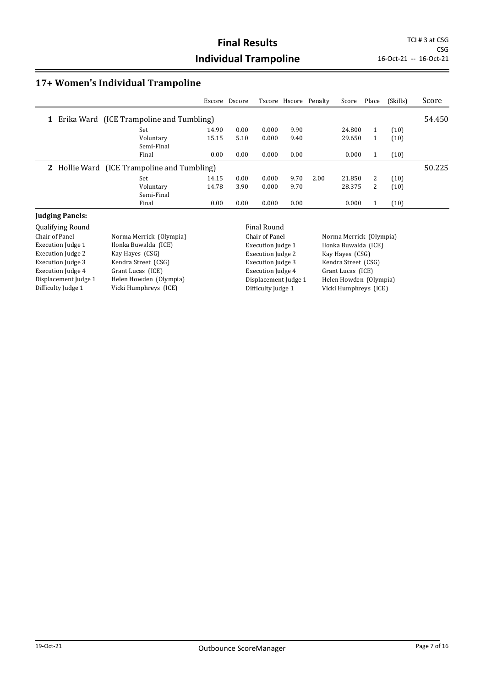#### **17+ Women's Individual Trampoline**

|                                               | Escore | Dscore |       |      | Tscore Hscore Penalty | Score  | Place | (Skills) | Score  |
|-----------------------------------------------|--------|--------|-------|------|-----------------------|--------|-------|----------|--------|
| Erika Ward (ICE Trampoline and Tumbling)<br>1 |        |        |       |      |                       |        |       |          | 54.450 |
| Set                                           | 14.90  | 0.00   | 0.000 | 9.90 |                       | 24.800 | 1     | (10)     |        |
| Voluntary<br>Semi-Final                       | 15.15  | 5.10   | 0.000 | 9.40 |                       | 29.650 |       | (10)     |        |
| Final                                         | 0.00   | 0.00   | 0.000 | 0.00 |                       | 0.000  | 1     | (10)     |        |
| 2 Hollie Ward (ICE Trampoline and Tumbling)   |        |        |       |      |                       |        |       |          | 50.225 |
| Set                                           | 14.15  | 0.00   | 0.000 | 9.70 | 2.00                  | 21.850 | 2     | (10)     |        |
| Voluntary<br>Semi-Final                       | 14.78  | 3.90   | 0.000 | 9.70 |                       | 28.375 | 2     | (10)     |        |
| Final                                         | 0.00   | 0.00   | 0.000 | 0.00 |                       | 0.000  |       | (10)     |        |

#### **Judging Panels:**

Qualifying Round<br>
Chair of Panel **Final Round**<br>
Chair of Panel **Final Round Round Round Round Round Round Round Round Round Round Round Round Round Round Round R** Execution Judge 1 Ilonka Buwalda (ICE) Execution Judge 2 Kay Hayes (CSG) Execution Judge 3 Kendra Street (CSG) Execution Judge 4 Grant Lucas (ICE) Displacement Judge 1 Helen Howden (Olympia) Difficulty Judge 1 Vicki Humphreys (ICE)

Norma Merrick (Olympia)

Chair of Panel Norma Merrick (Olympia) Execution Judge 1 Ilonka Buwalda (ICE) Execution Judge 2 Kay Hayes (CSG) Execution Judge 3 Kendra Street (CSG) Execution Judge 4 Grant Lucas (ICE) Difficulty Judge 1 Vicki Humphreys (ICE)

Displacement Judge 1 Helen Howden (Olympia)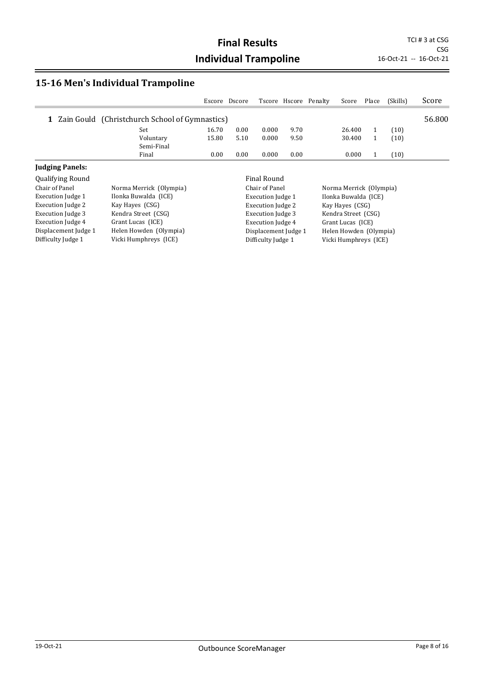CSG<br>16-Oct-21 -- 16-Oct-21

### **15-16 Men's Individual Trampoline**

|                          |                                                | Escore | Dscore |                          |      | Tscore Hscore Penalty | Score                   | Place | (Skills) | Score  |
|--------------------------|------------------------------------------------|--------|--------|--------------------------|------|-----------------------|-------------------------|-------|----------|--------|
| 1                        | Zain Gould (Christchurch School of Gymnastics) |        |        |                          |      |                       |                         |       |          | 56.800 |
|                          | Set                                            | 16.70  | 0.00   | 0.000                    | 9.70 |                       | 26.400                  |       | (10)     |        |
|                          | Voluntary<br>Semi-Final                        | 15.80  | 5.10   | 0.000                    | 9.50 |                       | 30.400                  |       | (10)     |        |
|                          | Final                                          | 0.00   | 0.00   | 0.000                    | 0.00 |                       | 0.000                   |       | (10)     |        |
| <b>Judging Panels:</b>   |                                                |        |        |                          |      |                       |                         |       |          |        |
| <b>Qualifying Round</b>  |                                                |        |        | Final Round              |      |                       |                         |       |          |        |
| Chair of Panel           | Norma Merrick (Olympia)                        |        |        | Chair of Panel           |      |                       | Norma Merrick (Olympia) |       |          |        |
| Execution Judge 1        | Ilonka Buwalda (ICE)                           |        |        | <b>Execution Judge 1</b> |      |                       | Ilonka Buwalda (ICE)    |       |          |        |
| <b>Execution Judge 2</b> | Kay Hayes (CSG)                                |        |        | <b>Execution Judge 2</b> |      |                       | Kay Hayes (CSG)         |       |          |        |
| Execution Judge 3        | Kendra Street (CSG)                            |        |        | Execution Judge 3        |      |                       | Kendra Street (CSG)     |       |          |        |
| Execution Judge 4        | Grant Lucas (ICE)                              |        |        | <b>Execution Judge 4</b> |      |                       | Grant Lucas (ICE)       |       |          |        |
| Displacement Judge 1     | Helen Howden (Olympia)                         |        |        | Displacement Judge 1     |      |                       | Helen Howden (Olympia)  |       |          |        |
| Difficulty Judge 1       | Vicki Humphreys (ICE)                          |        |        | Difficulty Judge 1       |      |                       | Vicki Humphreys (ICE)   |       |          |        |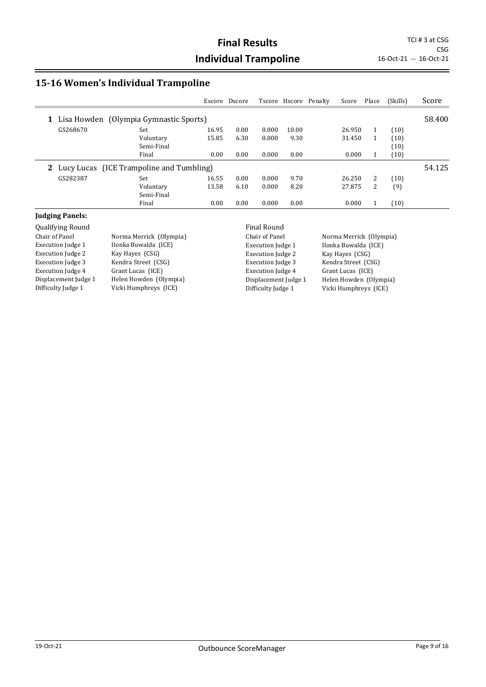CSG

#### **15-16 Women's Individual Trampoline**

|   |          |                                          | Escore | Dscore |       |       | Tscore Hscore Penalty | Score  | Place | (Skills) | Score  |
|---|----------|------------------------------------------|--------|--------|-------|-------|-----------------------|--------|-------|----------|--------|
| 1 |          | Lisa Howden (Olympia Gymnastic Sports)   |        |        |       |       |                       |        |       |          | 58.400 |
|   | GS268670 | Set                                      | 16.95  | 0.00   | 0.000 | 10.00 |                       | 26.950 | 1     | (10)     |        |
|   |          | Voluntary                                | 15.85  | 6.30   | 0.000 | 9.30  |                       | 31.450 |       | (10)     |        |
|   |          | Semi-Final                               |        |        |       |       |                       |        |       | (10)     |        |
|   |          | Final                                    | 0.00   | 0.00   | 0.000 | 0.00  |                       | 0.000  |       | (10)     |        |
|   |          | Lucy Lucas (ICE Trampoline and Tumbling) |        |        |       |       |                       |        |       |          | 54.125 |
|   | GS282387 | Set                                      | 16.55  | 0.00   | 0.000 | 9.70  |                       | 26.250 | 2     | (10)     |        |
|   |          | Voluntary                                | 13.58  | 6.10   | 0.000 | 8.20  |                       | 27.875 | 2     | (9)      |        |
|   |          | Semi-Final                               |        |        |       |       |                       |        |       |          |        |
|   |          | Final                                    | 0.00   | 0.00   | 0.000 | 0.00  |                       | 0.000  |       | (10)     |        |

#### **Judging Panels:**

Qualifying Round<br>
Chair of Panel **Final Round Round Round Round Round Round** Chair of Panel Execution Judge 1 Ilonka Buwalda (ICE) Execution Judge 2 Kay Hayes (CSG) Execution Judge 3 Kendra Street (CSG) Execution Judge 4 Grant Lucas (ICE) Displacement Judge 1 Helen Howden (Olympia) Difficulty Judge 1 Vicki Humphreys (ICE)

Norma Merrick (Olympia)

Execution Judge 1 Ilonka Buwalda (ICE) Execution Judge 2 Kay Hayes (CSG) Execution Judge 3 Kendra Street (CSG) Execution Judge 4 Grant Lucas (ICE) Difficulty Judge 1 Vicki Humphreys (ICE)

Chair of Panel Norma Merrick (Olympia) Displacement Judge 1 Helen Howden (Olympia)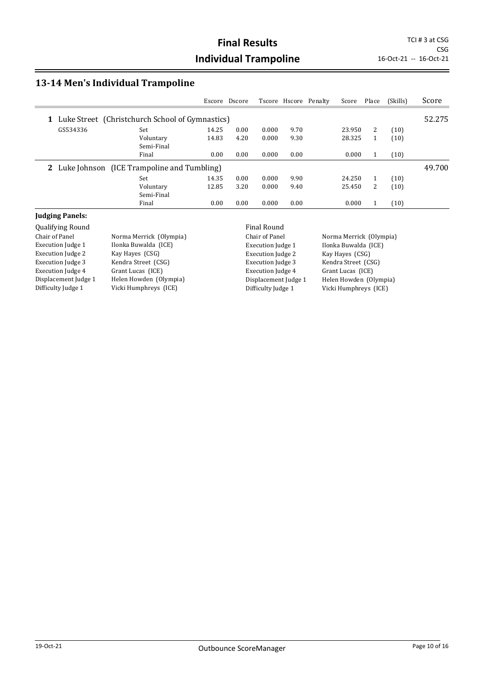CSG

#### **13-14 Men's Individual Trampoline**

|          |                                                     | Escore | Dscore |       |      | Tscore Hscore Penalty | Score  | Place | (Skills) | Score  |
|----------|-----------------------------------------------------|--------|--------|-------|------|-----------------------|--------|-------|----------|--------|
| 1        | Luke Street (Christchurch School of Gymnastics)     |        |        |       |      |                       |        |       |          | 52.275 |
| GS534336 | Set                                                 | 14.25  | 0.00   | 0.000 | 9.70 |                       | 23.950 | 2     | (10)     |        |
|          | Voluntary<br>Semi-Final                             | 14.83  | 4.20   | 0.000 | 9.30 |                       | 28.325 | 1     | (10)     |        |
|          | Final                                               | 0.00   | 0.00   | 0.000 | 0.00 |                       | 0.000  | 1     | (10)     |        |
|          | <b>2</b> Luke Johnson (ICE Trampoline and Tumbling) |        |        |       |      |                       |        |       |          | 49.700 |
|          | Set                                                 | 14.35  | 0.00   | 0.000 | 9.90 |                       | 24.250 | 1     | (10)     |        |
|          | Voluntary<br>Semi-Final                             | 12.85  | 3.20   | 0.000 | 9.40 |                       | 25.450 | 2     | (10)     |        |
|          | Final                                               | 0.00   | 0.00   | 0.000 | 0.00 |                       | 0.000  |       | (10)     |        |

#### **Judging Panels:**

Qualifying Round<br>
Chair of Panel **Final Round Round Round Round Round Round** Chair of Panel Execution Judge 1 Ilonka Buwalda (ICE) Execution Judge 2 Kay Hayes (CSG) Execution Judge 3 Kendra Street (CSG) Execution Judge 4 Grant Lucas (ICE) Displacement Judge 1 Helen Howden (Olympia) Difficulty Judge 1 Vicki Humphreys (ICE)

Norma Merrick (Olympia)

Execution Judge 1 Ilonka Buwalda (ICE) Execution Judge 2 Kay Hayes (CSG) Execution Judge 3 Kendra Street (CSG) Execution Judge 4 Grant Lucas (ICE) Difficulty Judge 1 Vicki Humphreys (ICE)

Chair of Panel Norma Merrick (Olympia) Displacement Judge 1 Helen Howden (Olympia)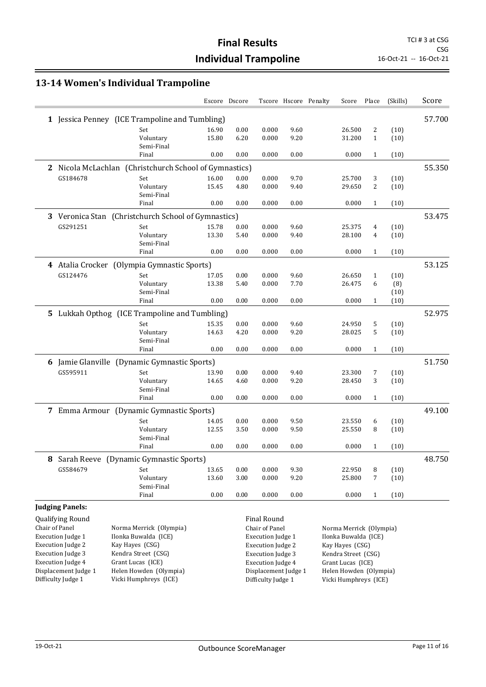### **13-14 Women's Individual Trampoline**

|                          |                                                        |       | Escore Dscore |                          |      | Tscore Hscore Penalty | Score                   | Place        | (Skills) | Score  |
|--------------------------|--------------------------------------------------------|-------|---------------|--------------------------|------|-----------------------|-------------------------|--------------|----------|--------|
|                          | 1 Jessica Penney (ICE Trampoline and Tumbling)         |       |               |                          |      |                       |                         |              |          | 57.700 |
|                          | Set                                                    | 16.90 | 0.00          | 0.000                    | 9.60 |                       | 26.500                  | 2            | (10)     |        |
|                          | Voluntary                                              | 15.80 | 6.20          | 0.000                    | 9.20 |                       | 31.200                  | $\mathbf{1}$ | (10)     |        |
|                          | Semi-Final<br>Final                                    | 0.00  | 0.00          | 0.000                    | 0.00 |                       | 0.000                   | $\mathbf{1}$ | (10)     |        |
|                          | 2 Nicola McLachlan (Christchurch School of Gymnastics) |       |               |                          |      |                       |                         |              |          | 55.350 |
| GS184678                 | Set                                                    | 16.00 | 0.00          | 0.000                    | 9.70 |                       | 25.700                  | 3            | (10)     |        |
|                          | Voluntary                                              | 15.45 | 4.80          | 0.000                    | 9.40 |                       | 29.650                  | 2            | (10)     |        |
|                          | Semi-Final                                             |       |               |                          |      |                       |                         |              |          |        |
|                          | Final                                                  | 0.00  | 0.00          | 0.000                    | 0.00 |                       | 0.000                   | 1            | (10)     |        |
|                          | 3 Veronica Stan (Christchurch School of Gymnastics)    |       |               |                          |      |                       |                         |              |          | 53.475 |
| GS291251                 | Set                                                    | 15.78 | 0.00          | 0.000                    | 9.60 |                       | 25.375                  | 4            | (10)     |        |
|                          | Voluntary                                              | 13.30 | 5.40          | 0.000                    | 9.40 |                       | 28.100                  | 4            | (10)     |        |
|                          | Semi-Final                                             |       |               |                          |      |                       |                         |              |          |        |
|                          | Final                                                  | 0.00  | 0.00          | 0.000                    | 0.00 |                       | 0.000                   | 1            | (10)     |        |
|                          | 4 Atalia Crocker (Olympia Gymnastic Sports)            |       |               |                          |      |                       |                         |              |          | 53.125 |
| GS124476                 | Set                                                    | 17.05 | 0.00          | 0.000                    | 9.60 |                       | 26.650                  | 1            | (10)     |        |
|                          | Voluntary                                              | 13.38 | 5.40          | 0.000                    | 7.70 |                       | 26.475                  | 6            | (8)      |        |
|                          | Semi-Final                                             |       |               |                          |      |                       |                         |              | (10)     |        |
|                          | Final                                                  | 0.00  | 0.00          | 0.000                    | 0.00 |                       | 0.000                   | $\mathbf{1}$ | (10)     |        |
|                          | 5 Lukkah Opthog (ICE Trampoline and Tumbling)          |       |               |                          |      |                       |                         |              |          | 52.975 |
|                          | Set                                                    | 15.35 | 0.00          | 0.000                    | 9.60 |                       | 24.950                  | 5            | (10)     |        |
|                          | Voluntary                                              | 14.63 | 4.20          | 0.000                    | 9.20 |                       | 28.025                  | 5            | (10)     |        |
|                          | Semi-Final                                             |       |               |                          |      |                       |                         |              |          |        |
|                          | Final                                                  | 0.00  | 0.00          | 0.000                    | 0.00 |                       | 0.000                   | $\mathbf{1}$ | (10)     |        |
|                          | 6 Jamie Glanville (Dynamic Gymnastic Sports)           |       |               |                          |      |                       |                         |              |          | 51.750 |
| GS595911                 | Set                                                    | 13.90 | 0.00          | 0.000                    | 9.40 |                       | 23.300                  | 7            | (10)     |        |
|                          | Voluntary                                              | 14.65 | 4.60          | 0.000                    | 9.20 |                       | 28.450                  | 3            | (10)     |        |
|                          | Semi-Final                                             |       |               |                          |      |                       |                         |              |          |        |
|                          | Final                                                  | 0.00  | 0.00          | 0.000                    | 0.00 |                       | 0.000                   | $\mathbf{1}$ | (10)     |        |
|                          | 7 Emma Armour (Dynamic Gymnastic Sports)               |       |               |                          |      |                       |                         |              |          | 49.100 |
|                          | Set                                                    | 14.05 | 0.00          | 0.000                    | 9.50 |                       | 23.550                  | 6            | (10)     |        |
|                          | Voluntary                                              | 12.55 | 3.50          | 0.000                    | 9.50 |                       | 25.550                  | 8            | (10)     |        |
|                          | Semi-Final                                             |       |               |                          |      |                       | 0.000                   | $\mathbf{1}$ |          |        |
|                          | Final                                                  | 0.00  | 0.00          | 0.000                    | 0.00 |                       |                         |              | (10)     |        |
|                          | 8 Sarah Reeve (Dynamic Gymnastic Sports)               |       |               |                          |      |                       |                         |              |          | 48.750 |
| GS584679                 | Set                                                    | 13.65 | 0.00          | 0.000                    | 9.30 |                       | 22.950                  | 8            | (10)     |        |
|                          | Voluntary                                              | 13.60 | 3.00          | 0.000                    | 9.20 |                       | 25.800                  | 7            | (10)     |        |
|                          | Semi-Final                                             |       |               |                          |      |                       |                         |              |          |        |
|                          | Final                                                  | 0.00  | 0.00          | 0.000                    | 0.00 |                       | 0.000                   | $\mathbf{1}$ | (10)     |        |
| <b>Judging Panels:</b>   |                                                        |       |               |                          |      |                       |                         |              |          |        |
| Qualifying Round         |                                                        |       |               | <b>Final Round</b>       |      |                       |                         |              |          |        |
| Chair of Panel           | Norma Merrick (Olympia)                                |       |               | Chair of Panel           |      |                       | Norma Merrick (Olympia) |              |          |        |
| Execution Judge 1        | Ilonka Buwalda (ICE)                                   |       |               | <b>Execution Judge 1</b> |      |                       | Ilonka Buwalda (ICE)    |              |          |        |
| <b>Execution Judge 2</b> | Kay Hayes (CSG)                                        |       |               | <b>Execution Judge 2</b> |      |                       | Kay Hayes (CSG)         |              |          |        |
| <b>Execution Judge 3</b> | Kendra Street (CSG)                                    |       |               | <b>Execution Judge 3</b> |      |                       | Kendra Street (CSG)     |              |          |        |
| <b>Execution Judge 4</b> | Grant Lucas (ICE)                                      |       |               | <b>Execution Judge 4</b> |      |                       | Grant Lucas (ICE)       |              |          |        |
| Displacement Judge 1     | Helen Howden (Olympia)                                 |       |               | Displacement Judge 1     |      |                       | Helen Howden (Olympia)  |              |          |        |
| Difficulty Judge 1       | Vicki Humphreys (ICE)                                  |       |               | Difficulty Judge 1       |      |                       | Vicki Humphreys (ICE)   |              |          |        |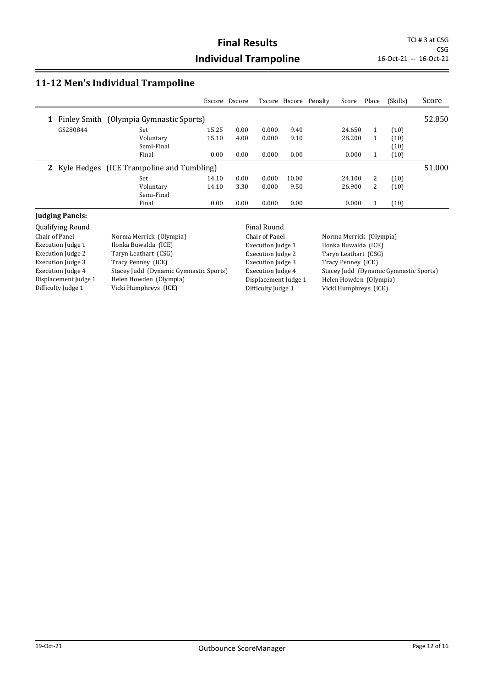CSG<br>16-Oct-21 -- 16-Oct-21

## **11-12 Men's Individual Trampoline**

|          |                                             | Escore | Dscore |       |       | Tscore Hscore Penalty | Score  | Place | (Skills) | Score  |
|----------|---------------------------------------------|--------|--------|-------|-------|-----------------------|--------|-------|----------|--------|
| 1        | Finley Smith (Olympia Gymnastic Sports)     |        |        |       |       |                       |        |       |          | 52.850 |
| GS280844 | Set                                         | 15.25  | 0.00   | 0.000 | 9.40  |                       | 24.650 | 1     | (10)     |        |
|          | Voluntary                                   | 15.10  | 4.00   | 0.000 | 9.10  |                       | 28.200 |       | (10)     |        |
|          | Semi-Final                                  |        |        |       |       |                       |        |       | (10)     |        |
|          | Final                                       | 0.00   | 0.00   | 0.000 | 0.00  |                       | 0.000  |       | (10)     |        |
|          | 2 Kyle Hedges (ICE Trampoline and Tumbling) |        |        |       |       |                       |        |       |          | 51.000 |
|          | Set                                         | 14.10  | 0.00   | 0.000 | 10.00 |                       | 24.100 | 2     | (10)     |        |
|          | Voluntary                                   | 14.10  | 3.30   | 0.000 | 9.50  |                       | 26.900 | 2     | (10)     |        |
|          | Semi-Final                                  |        |        |       |       |                       |        |       |          |        |
|          | Final                                       | 0.00   | 0.00   | 0.000 | 0.00  |                       | 0.000  |       | (10)     |        |

#### **Judging Panels:**

| <b>Qualifying Round</b>  |                                        | Final Round              |                                        |
|--------------------------|----------------------------------------|--------------------------|----------------------------------------|
| Chair of Panel           | Norma Merrick (Olympia)                | Chair of Panel           | Norma Merrick (Olympia)                |
| Execution Judge 1        | Ilonka Buwalda (ICE)                   | Execution Judge 1        | Ilonka Buwalda (ICE)                   |
| <b>Execution Judge 2</b> | Taryn Leathart (CSG)                   | Execution Judge 2        | Taryn Leathart (CSG)                   |
| <b>Execution Judge 3</b> | Tracy Penney (ICE)                     | <b>Execution Judge 3</b> | Tracy Penney (ICE)                     |
| Execution Judge 4        | Stacey Judd (Dynamic Gymnastic Sports) | Execution Judge 4        | Stacey Judd (Dynamic Gymnastic Sports) |
| Displacement Judge 1     | Helen Howden (Olympia)                 | Displacement Judge 1     | Helen Howden (Olympia)                 |
| Difficulty Judge 1       | Vicki Humphreys (ICE)                  | Difficulty Judge 1       | Vicki Humphreys (ICE)                  |
|                          |                                        |                          |                                        |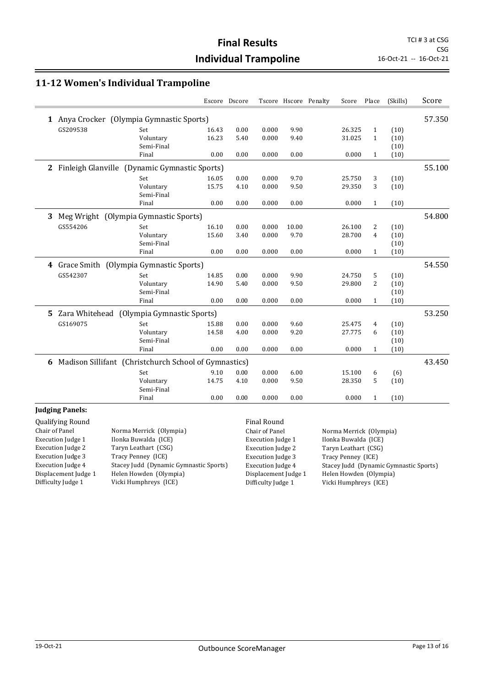#### **11-12 Women's Individual Trampoline**

|            |            |                                                                                                                                                                                                                              |                                                                        |       | Score                 | Place        | (Skills) | Score  |
|------------|------------|------------------------------------------------------------------------------------------------------------------------------------------------------------------------------------------------------------------------------|------------------------------------------------------------------------|-------|-----------------------|--------------|----------|--------|
|            |            |                                                                                                                                                                                                                              |                                                                        |       |                       |              |          | 57.350 |
| Set        | 16.43      | 0.00                                                                                                                                                                                                                         | 0.000                                                                  | 9.90  | 26.325                | $\mathbf{1}$ | (10)     |        |
| Voluntary  | 16.23      | 5.40                                                                                                                                                                                                                         | 0.000                                                                  | 9.40  | 31.025                | $\mathbf{1}$ | (10)     |        |
| Semi-Final |            |                                                                                                                                                                                                                              |                                                                        |       |                       |              | (10)     |        |
| Final      | 0.00       | 0.00                                                                                                                                                                                                                         | 0.000                                                                  | 0.00  | 0.000                 | $\mathbf{1}$ | (10)     |        |
|            |            |                                                                                                                                                                                                                              |                                                                        |       |                       |              |          | 55.100 |
| Set        | 16.05      | 0.00                                                                                                                                                                                                                         | 0.000                                                                  | 9.70  | 25.750                | 3            | (10)     |        |
| Voluntary  | 15.75      | 4.10                                                                                                                                                                                                                         | 0.000                                                                  | 9.50  | 29.350                | 3            | (10)     |        |
| Semi-Final |            |                                                                                                                                                                                                                              |                                                                        |       |                       |              |          |        |
| Final      | 0.00       | 0.00                                                                                                                                                                                                                         | 0.000                                                                  | 0.00  | 0.000                 | $\mathbf{1}$ | (10)     |        |
|            |            |                                                                                                                                                                                                                              |                                                                        |       |                       |              |          | 54.800 |
| Set        | 16.10      | 0.00                                                                                                                                                                                                                         | 0.000                                                                  | 10.00 | 26.100                | 2            | (10)     |        |
| Voluntary  | 15.60      | 3.40                                                                                                                                                                                                                         | 0.000                                                                  | 9.70  | 28.700                | 4            | (10)     |        |
| Semi-Final |            |                                                                                                                                                                                                                              |                                                                        |       |                       |              | (10)     |        |
| Final      | 0.00       | 0.00                                                                                                                                                                                                                         | 0.000                                                                  | 0.00  | 0.000                 | $\mathbf{1}$ | (10)     |        |
|            |            |                                                                                                                                                                                                                              |                                                                        |       |                       |              |          | 54.550 |
| Set        | 14.85      | 0.00                                                                                                                                                                                                                         | 0.000                                                                  | 9.90  | 24.750                | 5            | (10)     |        |
| Voluntary  | 14.90      | 5.40                                                                                                                                                                                                                         | 0.000                                                                  | 9.50  | 29.800                | 2            | (10)     |        |
| Semi-Final |            |                                                                                                                                                                                                                              |                                                                        |       |                       |              | (10)     |        |
| Final      | 0.00       | 0.00                                                                                                                                                                                                                         | 0.000                                                                  | 0.00  | 0.000                 | $\mathbf{1}$ | (10)     |        |
|            |            |                                                                                                                                                                                                                              |                                                                        |       |                       |              |          | 53.250 |
| Set        | 15.88      | 0.00                                                                                                                                                                                                                         | 0.000                                                                  | 9.60  | 25.475                | 4            | (10)     |        |
| Voluntary  | 14.58      | 4.00                                                                                                                                                                                                                         | 0.000                                                                  | 9.20  | 27.775                | 6            | (10)     |        |
| Semi-Final |            |                                                                                                                                                                                                                              |                                                                        |       |                       |              | (10)     |        |
| Final      | 0.00       | 0.00                                                                                                                                                                                                                         | 0.000                                                                  | 0.00  | 0.000                 | $\mathbf{1}$ | (10)     |        |
|            |            |                                                                                                                                                                                                                              |                                                                        |       |                       |              |          | 43.450 |
| Set        | 9.10       | 0.00                                                                                                                                                                                                                         | 0.000                                                                  | 6.00  | 15.100                | 6            | (6)      |        |
| Voluntary  | 14.75      | 4.10                                                                                                                                                                                                                         | 0.000                                                                  | 9.50  | 28.350                | 5            | (10)     |        |
| Final      | 0.00       | 0.00                                                                                                                                                                                                                         | 0.000                                                                  | 0.00  | 0.000                 | $\mathbf{1}$ | (10)     |        |
|            | Semi-Final | 1 Anya Crocker (Olympia Gymnastic Sports)<br>Finleigh Glanville (Dynamic Gymnastic Sports)<br>Meg Wright (Olympia Gymnastic Sports)<br>4 Grace Smith (Olympia Gymnastic Sports)<br>Zara Whitehead (Olympia Gymnastic Sports) | Escore Dscore<br>Madison Sillifant (Christchurch School of Gymnastics) |       | Tscore Hscore Penalty |              |          |        |

#### **Judging Panels:**

Qualifying Round **Final Round Final Round** Chair of Panel Norma Merrick (Olympia) Execution Judge 1 Ilonka Buwalda (ICE) Execution Judge 2 Taryn Leathart (CSG) Execution Judge 3 Tracy Penney (ICE) Execution Judge 4 Stacey Judd (Dynamic Gymnastic Sports) Displacement Judge 1 Helen Howden (Olympia) Difficulty Judge 1 Vicki Humphreys (ICE)

Execution Judge 3 Tracy Penney (ICE)

Chair of Panel Norma Merrick (Olympia) Execution Judge 1 Ilonka Buwalda (ICE) Execution Judge 2 Taryn Leathart (CSG) Execution Judge 4 Stacey Judd (Dynamic Gymnastic Sports) Displacement Judge 1 Helen Howden (Olympia)<br>Difficulty Judge 1 Vicki Humphreys (ICE) Vicki Humphreys (ICE)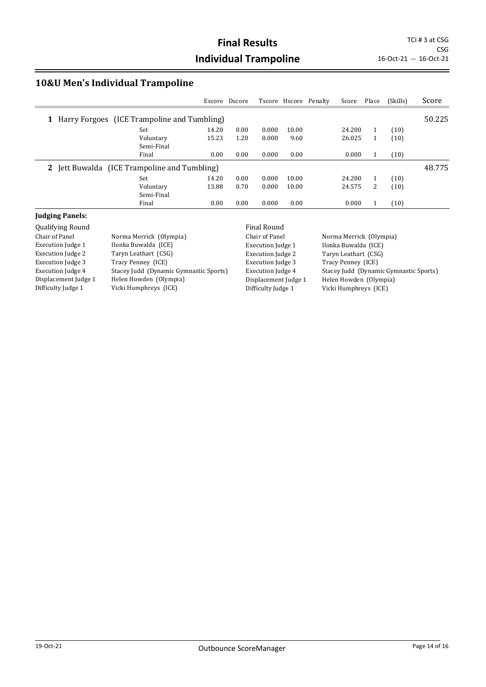CSG<br>16-Oct-21 -- 16-Oct-21

## **10&U Men's Individual Trampoline**

|                                               | Escore | Dscore |       |       | Tscore Hscore Penalty | Score  | Place | (Skills) | Score  |
|-----------------------------------------------|--------|--------|-------|-------|-----------------------|--------|-------|----------|--------|
| 1 Harry Forgoes (ICE Trampoline and Tumbling) |        |        |       |       |                       |        |       |          | 50.225 |
| Set                                           | 14.20  | 0.00   | 0.000 | 10.00 |                       | 24.200 | 1     | (10)     |        |
| Voluntary                                     | 15.23  | 1.20   | 0.000 | 9.60  |                       | 26.025 |       | (10)     |        |
| Semi-Final                                    |        |        |       |       |                       |        |       |          |        |
| Final                                         | 0.00   | 0.00   | 0.000 | 0.00  |                       | 0.000  | 1     | (10)     |        |
| 2 Jett Buwalda (ICE Trampoline and Tumbling)  |        |        |       |       |                       |        |       |          | 48.775 |
| Set                                           | 14.20  | 0.00   | 0.000 | 10.00 |                       | 24.200 | 1     | (10)     |        |
| Voluntary                                     | 13.88  | 0.70   | 0.000 | 10.00 |                       | 24.575 | 2     | (10)     |        |
| Semi-Final                                    |        |        |       |       |                       |        |       |          |        |
| Final                                         | 0.00   | 0.00   | 0.000 | 0.00  |                       | 0.000  |       | (10)     |        |

#### **Judging Panels:**

| Qualifying Round         |                                        | Final Round              |                                        |
|--------------------------|----------------------------------------|--------------------------|----------------------------------------|
| Chair of Panel           | Norma Merrick (Olympia)                | Chair of Panel           | Norma Merrick (Olympia)                |
| Execution Judge 1        | Ilonka Buwalda (ICE)                   | Execution Judge 1        | Ilonka Buwalda (ICE)                   |
| Execution Judge 2        | Taryn Leathart (CSG)                   | <b>Execution Judge 2</b> | Taryn Leathart (CSG)                   |
| <b>Execution Judge 3</b> | Tracy Penney (ICE)                     | <b>Execution Judge 3</b> | Tracy Penney (ICE)                     |
| <b>Execution Judge 4</b> | Stacey Judd (Dynamic Gymnastic Sports) | Execution Judge 4        | Stacey Judd (Dynamic Gymnastic Sports) |
| Displacement Judge 1     | Helen Howden (Olympia)                 | Displacement Judge 1     | Helen Howden (Olympia)                 |
| Difficulty Judge 1       | Vicki Humphreys (ICE)                  | Difficulty Judge 1       | Vicki Humphreys (ICE)                  |
|                          |                                        |                          |                                        |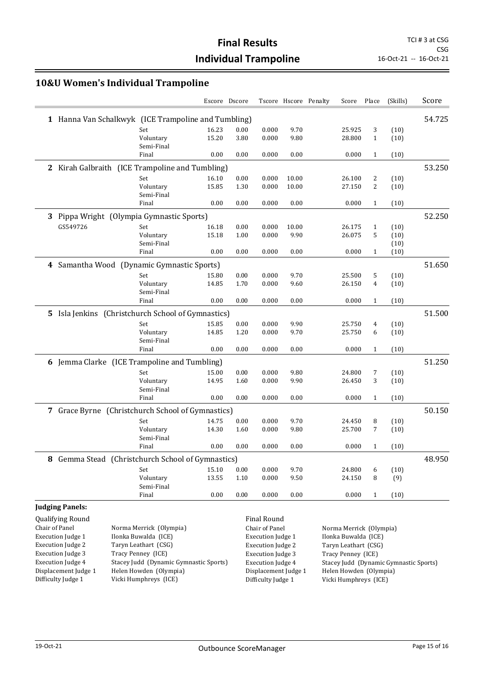CSG<br>16-Oct-21 -- 16-Oct-21

### **10&U Women's Individual Trampoline**

|                          |                                                     | Escore Dscore  |              |                          | Tscore Hscore Penalty | Score                   | Place        | (Skills)                               | Score  |
|--------------------------|-----------------------------------------------------|----------------|--------------|--------------------------|-----------------------|-------------------------|--------------|----------------------------------------|--------|
|                          | 1 Hanna Van Schalkwyk (ICE Trampoline and Tumbling) |                |              |                          |                       |                         |              |                                        | 54.725 |
|                          | Set                                                 | 16.23          | 0.00         | 0.000                    | 9.70                  | 25.925                  | 3            | (10)                                   |        |
|                          | Voluntary                                           | 15.20          | 3.80         | 0.000                    | 9.80                  | 28.800                  | 1            | (10)                                   |        |
|                          | Semi-Final                                          |                |              |                          |                       |                         |              |                                        |        |
|                          | Final                                               | 0.00           | 0.00         | 0.000                    | 0.00                  | 0.000                   | $\mathbf{1}$ | (10)                                   |        |
|                          | 2 Kirah Galbraith (ICE Trampoline and Tumbling)     |                |              |                          |                       |                         |              |                                        | 53.250 |
|                          | Set                                                 | 16.10          | 0.00         | 0.000                    | 10.00                 | 26.100                  | 2            | (10)                                   |        |
|                          | Voluntary                                           | 15.85          | 1.30         | 0.000                    | 10.00                 | 27.150                  | 2            | (10)                                   |        |
|                          | Semi-Final<br>Final                                 | 0.00           | 0.00         | 0.000                    | 0.00                  | 0.000                   | $\mathbf{1}$ | (10)                                   |        |
|                          |                                                     |                |              |                          |                       |                         |              |                                        |        |
|                          | 3 Pippa Wright (Olympia Gymnastic Sports)           |                |              |                          |                       |                         |              |                                        | 52.250 |
| GS549726                 | Set                                                 | 16.18          | 0.00         | 0.000                    | 10.00                 | 26.175                  | $\mathbf{1}$ | (10)                                   |        |
|                          | Voluntary                                           | 15.18          | 1.00         | 0.000                    | 9.90                  | 26.075                  | 5            | (10)                                   |        |
|                          | Semi-Final<br>Final                                 | 0.00           | 0.00         | 0.000                    | 0.00                  | 0.000                   | $\mathbf{1}$ | (10)<br>(10)                           |        |
|                          |                                                     |                |              |                          |                       |                         |              |                                        |        |
|                          | 4 Samantha Wood (Dynamic Gymnastic Sports)          |                |              |                          |                       |                         |              |                                        | 51.650 |
|                          | Set                                                 | 15.80          | 0.00         | 0.000                    | 9.70                  | 25.500                  | 5            | (10)                                   |        |
|                          | Voluntary                                           | 14.85          | 1.70         | 0.000                    | 9.60                  | 26.150                  | 4            | (10)                                   |        |
|                          | Semi-Final<br>Final                                 | 0.00           | 0.00         | 0.000                    | 0.00                  | 0.000                   | $\mathbf{1}$ | (10)                                   |        |
|                          |                                                     |                |              |                          |                       |                         |              |                                        |        |
|                          | 5 Isla Jenkins (Christchurch School of Gymnastics)  |                |              |                          |                       |                         |              |                                        | 51.500 |
|                          | Set                                                 | 15.85          | 0.00         | 0.000                    | 9.90                  | 25.750                  | 4            | (10)                                   |        |
|                          | Voluntary<br>Semi-Final                             | 14.85          | 1.20         | 0.000                    | 9.70                  | 25.750                  | 6            | (10)                                   |        |
|                          | Final                                               | 0.00           | 0.00         | 0.000                    | 0.00                  | 0.000                   | $\mathbf{1}$ | (10)                                   |        |
|                          |                                                     |                |              |                          |                       |                         |              |                                        | 51.250 |
|                          | 6 Jemma Clarke (ICE Trampoline and Tumbling)        |                |              |                          |                       |                         |              |                                        |        |
|                          | Set<br>Voluntary                                    | 15.00<br>14.95 | 0.00<br>1.60 | 0.000<br>0.000           | 9.80<br>9.90          | 24.800<br>26.450        | 7<br>3       | (10)<br>(10)                           |        |
|                          | Semi-Final                                          |                |              |                          |                       |                         |              |                                        |        |
|                          | Final                                               | 0.00           | 0.00         | 0.000                    | 0.00                  | 0.000                   | $\mathbf{1}$ | (10)                                   |        |
|                          | 7 Grace Byrne (Christchurch School of Gymnastics)   |                |              |                          |                       |                         |              |                                        | 50.150 |
|                          | Set                                                 | 14.75          | 0.00         | 0.000                    | 9.70                  | 24.450                  | 8            | (10)                                   |        |
|                          | Voluntary                                           | 14.30          | 1.60         | 0.000                    | 9.80                  | 25.700                  | 7            | (10)                                   |        |
|                          | Semi-Final                                          |                |              |                          |                       |                         |              |                                        |        |
|                          | Final                                               | 0.00           | 0.00         | 0.000                    | 0.00                  | 0.000                   | $\mathbf{1}$ | (10)                                   |        |
|                          | 8 Gemma Stead (Christchurch School of Gymnastics)   |                |              |                          |                       |                         |              |                                        | 48.950 |
|                          | Set                                                 | 15.10          | 0.00         | 0.000                    | 9.70                  | 24.800                  | 6            | (10)                                   |        |
|                          | Voluntary                                           | 13.55          | 1.10         | 0.000                    | 9.50                  | 24.150                  | 8            | (9)                                    |        |
|                          | Semi-Final                                          |                |              |                          |                       |                         |              |                                        |        |
|                          | Final                                               | 0.00           | 0.00         | 0.000                    | 0.00                  | 0.000                   | $\mathbf{1}$ | (10)                                   |        |
| <b>Judging Panels:</b>   |                                                     |                |              |                          |                       |                         |              |                                        |        |
| Qualifying Round         |                                                     |                |              | Final Round              |                       |                         |              |                                        |        |
| Chair of Panel           | Norma Merrick (Olympia)                             |                |              | Chair of Panel           |                       | Norma Merrick (Olympia) |              |                                        |        |
| <b>Execution Judge 1</b> | Ilonka Buwalda (ICE)                                |                |              | <b>Execution Judge 1</b> |                       | Ilonka Buwalda (ICE)    |              |                                        |        |
| <b>Execution Judge 2</b> | Taryn Leathart (CSG)                                |                |              | <b>Execution Judge 2</b> |                       | Taryn Leathart (CSG)    |              |                                        |        |
| <b>Execution Judge 3</b> | Tracy Penney (ICE)                                  |                |              | <b>Execution Judge 3</b> |                       | Tracy Penney (ICE)      |              |                                        |        |
| <b>Execution Judge 4</b> | Stacey Judd (Dynamic Gymnastic Sports)              |                |              | <b>Execution Judge 4</b> |                       |                         |              | Stacey Judd (Dynamic Gymnastic Sports) |        |
| Displacement Judge 1     | Helen Howden (Olympia)                              |                |              | Displacement Judge 1     |                       | Helen Howden (Olympia)  |              |                                        |        |

Difficulty Judge 1 Vicki Humphreys (ICE)